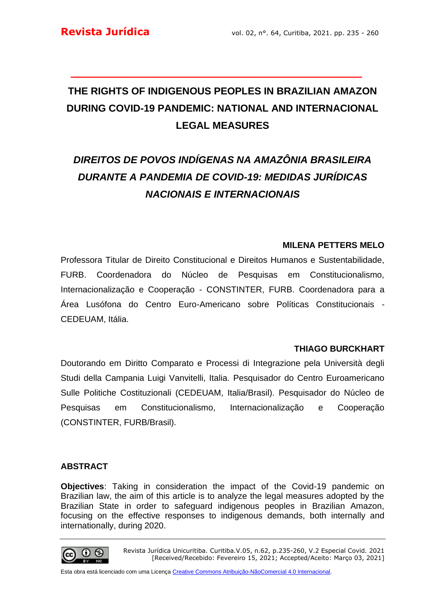# **THE RIGHTS OF INDIGENOUS PEOPLES IN BRAZILIAN AMAZON DURING COVID-19 PANDEMIC: NATIONAL AND INTERNACIONAL LEGAL MEASURES**

**\_\_\_\_\_\_\_\_\_\_\_\_\_\_\_\_\_\_\_\_\_\_\_\_\_\_\_\_\_\_\_\_\_\_\_\_\_\_\_\_\_**

# *DIREITOS DE POVOS INDÍGENAS NA AMAZÔNIA BRASILEIRA DURANTE A PANDEMIA DE COVID-19: MEDIDAS JURÍDICAS NACIONAIS E INTERNACIONAIS*

## **MILENA PETTERS MELO**

Professora Titular de Direito Constitucional e Direitos Humanos e Sustentabilidade, FURB. Coordenadora do Núcleo de Pesquisas em Constitucionalismo, Internacionalização e Cooperação - CONSTINTER, FURB. Coordenadora para a Área Lusófona do Centro Euro-Americano sobre Políticas Constitucionais - CEDEUAM, Itália.

## **THIAGO BURCKHART**

Doutorando em Diritto Comparato e Processi di Integrazione pela Università degli Studi della Campania Luigi Vanvitelli, Italia. Pesquisador do Centro Euroamericano Sulle Politiche Costituzionali (CEDEUAM, Italia/Brasil). Pesquisador do Núcleo de Pesquisas em Constitucionalismo, Internacionalização e Cooperação (CONSTINTER, FURB/Brasil).

## **ABSTRACT**

**Objectives**: Taking in consideration the impact of the Covid-19 pandemic on Brazilian law, the aim of this article is to analyze the legal measures adopted by the Brazilian State in order to safeguard indigenous peoples in Brazilian Amazon, focusing on the effective responses to indigenous demands, both internally and internationally, during 2020.

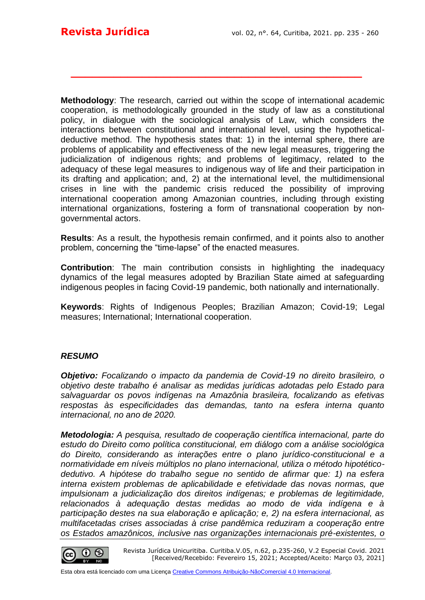**Methodology**: The research, carried out within the scope of international academic cooperation, is methodologically grounded in the study of law as a constitutional policy, in dialogue with the sociological analysis of Law, which considers the interactions between constitutional and international level, using the hypotheticaldeductive method. The hypothesis states that: 1) in the internal sphere, there are problems of applicability and effectiveness of the new legal measures, triggering the judicialization of indigenous rights; and problems of legitimacy, related to the adequacy of these legal measures to indigenous way of life and their participation in its drafting and application; and, 2) at the international level, the multidimensional crises in line with the pandemic crisis reduced the possibility of improving international cooperation among Amazonian countries, including through existing international organizations, fostering a form of transnational cooperation by nongovernmental actors.

**\_\_\_\_\_\_\_\_\_\_\_\_\_\_\_\_\_\_\_\_\_\_\_\_\_\_\_\_\_\_\_\_\_\_\_\_\_\_\_\_\_**

**Results**: As a result, the hypothesis remain confirmed, and it points also to another problem, concerning the "time-lapse" of the enacted measures.

**Contribution**: The main contribution consists in highlighting the inadequacy dynamics of the legal measures adopted by Brazilian State aimed at safeguarding indigenous peoples in facing Covid-19 pandemic, both nationally and internationally.

**Keywords**: Rights of Indigenous Peoples; Brazilian Amazon; Covid-19; Legal measures; International; International cooperation.

## *RESUMO*

*Objetivo: Focalizando o impacto da pandemia de Covid-19 no direito brasileiro, o objetivo deste trabalho é analisar as medidas jurídicas adotadas pelo Estado para salvaguardar os povos indígenas na Amazônia brasileira, focalizando as efetivas respostas às especificidades das demandas, tanto na esfera interna quanto internacional, no ano de 2020.*

*Metodologia: A pesquisa, resultado de cooperação científica internacional, parte do estudo do Direito como política constitucional, em diálogo com a análise sociológica do Direito, considerando as interações entre o plano jurídico-constitucional e a normatividade em níveis múltiplos no plano internacional, utiliza o método hipotéticodedutivo. A hipótese do trabalho segue no sentido de afirmar que: 1) na esfera interna existem problemas de aplicabilidade e efetividade das novas normas, que impulsionam a judicialização dos direitos indígenas; e problemas de legitimidade, relacionados à adequação destas medidas ao modo de vida indígena e à participação destes na sua elaboração e aplicação; e, 2) na esfera internacional, as multifacetadas crises associadas à crise pandêmica reduziram a cooperação entre os Estados amazônicos, inclusive nas organizações internacionais pré-existentes, o* 

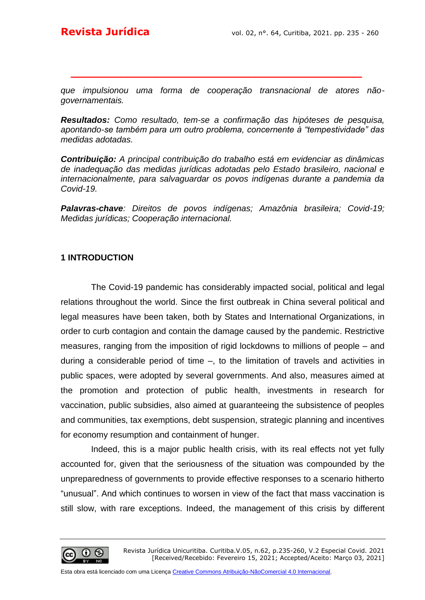*que impulsionou uma forma de cooperação transnacional de atores nãogovernamentais.*

**\_\_\_\_\_\_\_\_\_\_\_\_\_\_\_\_\_\_\_\_\_\_\_\_\_\_\_\_\_\_\_\_\_\_\_\_\_\_\_\_\_**

*Resultados: Como resultado, tem-se a confirmação das hipóteses de pesquisa, apontando-se também para um outro problema, concernente à "tempestividade" das medidas adotadas.*

*Contribuição: A principal contribuição do trabalho está em evidenciar as dinâmicas de inadequação das medidas jurídicas adotadas pelo Estado brasileiro, nacional e internacionalmente, para salvaguardar os povos indígenas durante a pandemia da Covid-19.*

*Palavras-chave: Direitos de povos indígenas; Amazônia brasileira; Covid-19; Medidas jurídicas; Cooperação internacional.* 

## **1 INTRODUCTION**

The Covid-19 pandemic has considerably impacted social, political and legal relations throughout the world. Since the first outbreak in China several political and legal measures have been taken, both by States and International Organizations, in order to curb contagion and contain the damage caused by the pandemic. Restrictive measures, ranging from the imposition of rigid lockdowns to millions of people – and during a considerable period of time –, to the limitation of travels and activities in public spaces, were adopted by several governments. And also, measures aimed at the promotion and protection of public health, investments in research for vaccination, public subsidies, also aimed at guaranteeing the subsistence of peoples and communities, tax exemptions, debt suspension, strategic planning and incentives for economy resumption and containment of hunger.

Indeed, this is a major public health crisis, with its real effects not yet fully accounted for, given that the seriousness of the situation was compounded by the unpreparedness of governments to provide effective responses to a scenario hitherto "unusual". And which continues to worsen in view of the fact that mass vaccination is still slow, with rare exceptions. Indeed, the management of this crisis by different

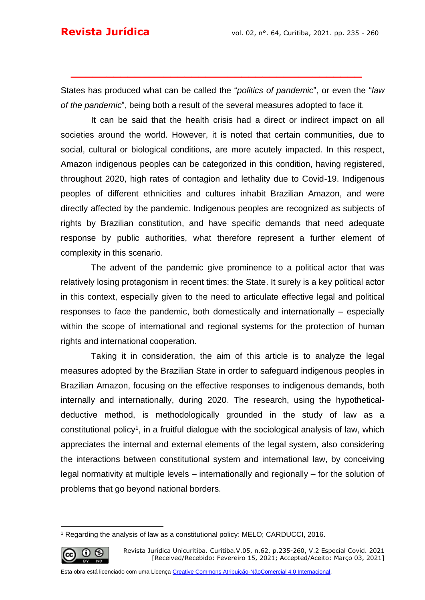States has produced what can be called the "*politics of pandemic*", or even the "*law of the pandemic*", being both a result of the several measures adopted to face it.

**\_\_\_\_\_\_\_\_\_\_\_\_\_\_\_\_\_\_\_\_\_\_\_\_\_\_\_\_\_\_\_\_\_\_\_\_\_\_\_\_\_**

It can be said that the health crisis had a direct or indirect impact on all societies around the world. However, it is noted that certain communities, due to social, cultural or biological conditions, are more acutely impacted. In this respect, Amazon indigenous peoples can be categorized in this condition, having registered, throughout 2020, high rates of contagion and lethality due to Covid-19. Indigenous peoples of different ethnicities and cultures inhabit Brazilian Amazon, and were directly affected by the pandemic. Indigenous peoples are recognized as subjects of rights by Brazilian constitution, and have specific demands that need adequate response by public authorities, what therefore represent a further element of complexity in this scenario.

The advent of the pandemic give prominence to a political actor that was relatively losing protagonism in recent times: the State. It surely is a key political actor in this context, especially given to the need to articulate effective legal and political responses to face the pandemic, both domestically and internationally – especially within the scope of international and regional systems for the protection of human rights and international cooperation.

Taking it in consideration, the aim of this article is to analyze the legal measures adopted by the Brazilian State in order to safeguard indigenous peoples in Brazilian Amazon, focusing on the effective responses to indigenous demands, both internally and internationally, during 2020. The research, using the hypotheticaldeductive method, is methodologically grounded in the study of law as a constitutional policy<sup>1</sup>, in a fruitful dialogue with the sociological analysis of law, which appreciates the internal and external elements of the legal system, also considering the interactions between constitutional system and international law, by conceiving legal normativity at multiple levels – internationally and regionally – for the solution of problems that go beyond national borders.

$$
\bigcirc \limits_{\mathbb{R}^n} \hspace{0.1cm} 0 \hspace{0.1cm} \bigcirc \limits_{\mathbb{R}^n}
$$

Revista Jurídica Unicuritiba. Curitiba.V.05, n.62, p.235-260, V.2 Especial Covid. 2021 [Received/Recebido: Fevereiro 15, 2021; Accepted/Aceito: Março 03, 2021]

<sup>1</sup> Regarding the analysis of law as a constitutional policy: MELO; CARDUCCI, 2016.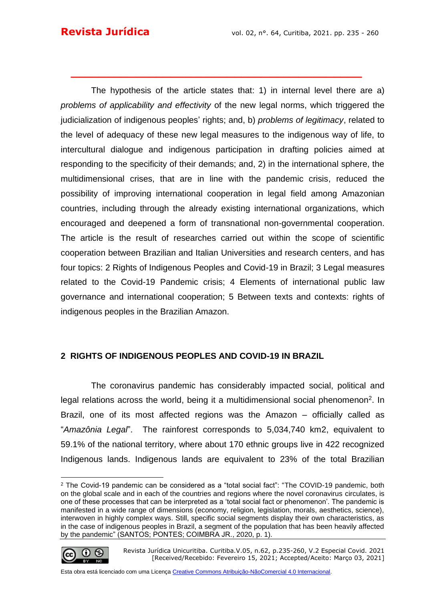The hypothesis of the article states that: 1) in internal level there are a) *problems of applicability and effectivity* of the new legal norms, which triggered the judicialization of indigenous peoples' rights; and, b) *problems of legitimacy*, related to the level of adequacy of these new legal measures to the indigenous way of life, to intercultural dialogue and indigenous participation in drafting policies aimed at responding to the specificity of their demands; and, 2) in the international sphere, the multidimensional crises, that are in line with the pandemic crisis, reduced the possibility of improving international cooperation in legal field among Amazonian countries, including through the already existing international organizations, which encouraged and deepened a form of transnational non-governmental cooperation. The article is the result of researches carried out within the scope of scientific cooperation between Brazilian and Italian Universities and research centers, and has four topics: 2 Rights of Indigenous Peoples and Covid-19 in Brazil; 3 Legal measures related to the Covid-19 Pandemic crisis; 4 Elements of international public law governance and international cooperation; 5 Between texts and contexts: rights of indigenous peoples in the Brazilian Amazon.

**\_\_\_\_\_\_\_\_\_\_\_\_\_\_\_\_\_\_\_\_\_\_\_\_\_\_\_\_\_\_\_\_\_\_\_\_\_\_\_\_\_**

## **2 RIGHTS OF INDIGENOUS PEOPLES AND COVID-19 IN BRAZIL**

The coronavirus pandemic has considerably impacted social, political and legal relations across the world, being it a multidimensional social phenomenon<sup>2</sup>. In Brazil, one of its most affected regions was the Amazon – officially called as "*Amazônia Legal*". The rainforest corresponds to 5,034,740 km2, equivalent to 59.1% of the national territory, where about 170 ethnic groups live in 422 recognized Indigenous lands. Indigenous lands are equivalent to 23% of the total Brazilian

<sup>2</sup> The Covid-19 pandemic can be considered as a "total social fact": "The COVID-19 pandemic, both on the global scale and in each of the countries and regions where the novel coronavirus circulates, is one of these processes that can be interpreted as a 'total social fact or phenomenon'. The pandemic is manifested in a wide range of dimensions (economy, religion, legislation, morals, aesthetics, science), interwoven in highly complex ways. Still, specific social segments display their own characteristics, as in the case of indigenous peoples in Brazil, a segment of the population that has been heavily affected by the pandemic" (SANTOS; PONTES; COIMBRA JR., 2020, p. 1).



Revista Jurídica Unicuritiba. Curitiba.V.05, n.62, p.235-260, V.2 Especial Covid. 2021 [Received/Recebido: Fevereiro 15, 2021; Accepted/Aceito: Março 03, 2021]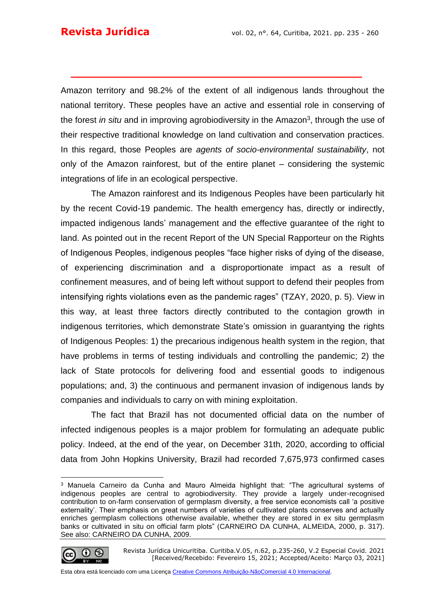Amazon territory and 98.2% of the extent of all indigenous lands throughout the national territory. These peoples have an active and essential role in conserving of the forest *in situ* and in improving agrobiodiversity in the Amazon<sup>3</sup>, through the use of their respective traditional knowledge on land cultivation and conservation practices. In this regard, those Peoples are *agents of socio-environmental sustainability*, not only of the Amazon rainforest, but of the entire planet – considering the systemic integrations of life in an ecological perspective.

**\_\_\_\_\_\_\_\_\_\_\_\_\_\_\_\_\_\_\_\_\_\_\_\_\_\_\_\_\_\_\_\_\_\_\_\_\_\_\_\_\_**

The Amazon rainforest and its Indigenous Peoples have been particularly hit by the recent Covid-19 pandemic. The health emergency has, directly or indirectly, impacted indigenous lands' management and the effective guarantee of the right to land. As pointed out in the recent Report of the UN Special Rapporteur on the Rights of Indigenous Peoples, indigenous peoples "face higher risks of dying of the disease, of experiencing discrimination and a disproportionate impact as a result of confinement measures, and of being left without support to defend their peoples from intensifying rights violations even as the pandemic rages" (TZAY, 2020, p. 5). View in this way, at least three factors directly contributed to the contagion growth in indigenous territories, which demonstrate State's omission in guarantying the rights of Indigenous Peoples: 1) the precarious indigenous health system in the region, that have problems in terms of testing individuals and controlling the pandemic; 2) the lack of State protocols for delivering food and essential goods to indigenous populations; and, 3) the continuous and permanent invasion of indigenous lands by companies and individuals to carry on with mining exploitation.

The fact that Brazil has not documented official data on the number of infected indigenous peoples is a major problem for formulating an adequate public policy. Indeed, at the end of the year, on December 31th, 2020, according to official data from John Hopkins University, Brazil had recorded 7,675,973 confirmed cases

<sup>3</sup> Manuela Carneiro da Cunha and Mauro Almeida highlight that: "The agricultural systems of indigenous peoples are central to agrobiodiversity. They provide a largely under-recognised contribution to on-farm conservation of germplasm diversity, a free service economists call 'a positive externality'. Their emphasis on great numbers of varieties of cultivated plants conserves and actually enriches germplasm collections otherwise available, whether they are stored in ex situ germplasm banks or cultivated in situ on official farm plots" (CARNEIRO DA CUNHA, ALMEIDA, 2000, p. 317). See also: CARNEIRO DA CUNHA, 2009.



Revista Jurídica Unicuritiba. Curitiba.V.05, n.62, p.235-260, V.2 Especial Covid. 2021 [Received/Recebido: Fevereiro 15, 2021; Accepted/Aceito: Março 03, 2021]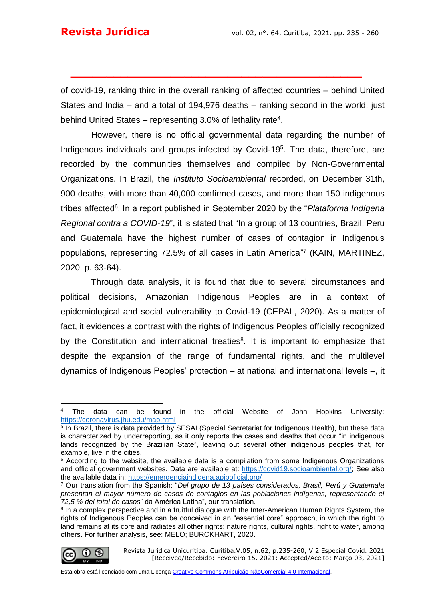of covid-19, ranking third in the overall ranking of affected countries – behind United States and India – and a total of 194,976 deaths – ranking second in the world, just behind United States – representing 3.0% of lethality rate<sup>4</sup>.

**\_\_\_\_\_\_\_\_\_\_\_\_\_\_\_\_\_\_\_\_\_\_\_\_\_\_\_\_\_\_\_\_\_\_\_\_\_\_\_\_\_**

However, there is no official governmental data regarding the number of Indigenous individuals and groups infected by Covid-19<sup>5</sup> . The data, therefore, are recorded by the communities themselves and compiled by Non-Governmental Organizations. In Brazil, the *Instituto Socioambiental* recorded, on December 31th, 900 deaths, with more than 40,000 confirmed cases, and more than 150 indigenous tribes affected<sup>6</sup>. In a report published in September 2020 by the "*Plataforma Indígena Regional contra a COVID-19*", it is stated that "In a group of 13 countries, Brazil, Peru and Guatemala have the highest number of cases of contagion in Indigenous populations, representing 72.5% of all cases in Latin America" 7 (KAIN, MARTINEZ, 2020, p. 63-64).

Through data analysis, it is found that due to several circumstances and political decisions, Amazonian Indigenous Peoples are in a context of epidemiological and social vulnerability to Covid-19 (CEPAL, 2020). As a matter of fact, it evidences a contrast with the rights of Indigenous Peoples officially recognized by the Constitution and international treaties<sup>8</sup>. It is important to emphasize that despite the expansion of the range of fundamental rights, and the multilevel dynamics of Indigenous Peoples' protection – at national and international levels –, it

<sup>&</sup>lt;sup>8</sup> In a complex perspective and in a fruitful dialogue with the Inter-American Human Rights System, the rights of Indigenous Peoples can be conceived in an "essential core" approach, in which the right to land remains at its core and radiates all other rights: nature rights, cultural rights, right to water, among others. For further analysis, see: MELO; BURCKHART, 2020.



Revista Jurídica Unicuritiba. Curitiba.V.05, n.62, p.235-260, V.2 Especial Covid. 2021 [Received/Recebido: Fevereiro 15, 2021; Accepted/Aceito: Março 03, 2021]

The data can be found in the official Website of John Hopkins University: <https://coronavirus.jhu.edu/map.html>

<sup>&</sup>lt;sup>5</sup> In Brazil, there is data provided by SESAI (Special Secretariat for Indigenous Health), but these data is characterized by underreporting, as it only reports the cases and deaths that occur "in indigenous lands recognized by the Brazilian State", leaving out several other indigenous peoples that, for example, live in the cities.

<sup>&</sup>lt;sup>6</sup> According to the website, the available data is a compilation from some Indigenous Organizations and official government websites. Data are available at: [https://covid19.socioambiental.org/;](https://covid19.socioambiental.org/) See also the available data in:<https://emergenciaindigena.apiboficial.org/>

<sup>7</sup> Our translation from the Spanish: "*Del grupo de 13 países considerados, Brasil, Perú y Guatemala presentan el mayor número de casos de contagios en las poblaciones indígenas, representando el 72,5 % del total de casos*" da América Latina", our translation.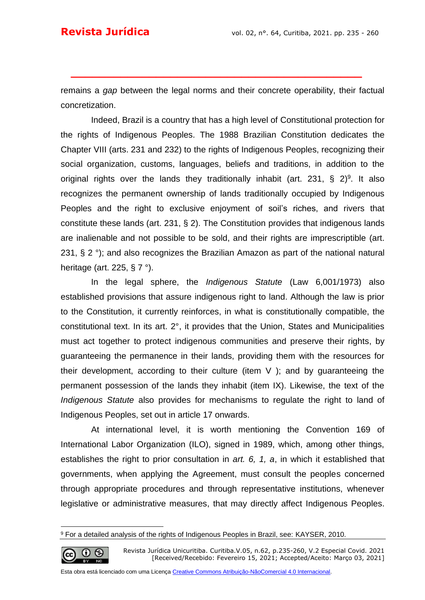remains a *gap* between the legal norms and their concrete operability, their factual concretization.

**\_\_\_\_\_\_\_\_\_\_\_\_\_\_\_\_\_\_\_\_\_\_\_\_\_\_\_\_\_\_\_\_\_\_\_\_\_\_\_\_\_**

Indeed, Brazil is a country that has a high level of Constitutional protection for the rights of Indigenous Peoples. The 1988 Brazilian Constitution dedicates the Chapter VIII (arts. 231 and 232) to the rights of Indigenous Peoples, recognizing their social organization, customs, languages, beliefs and traditions, in addition to the original rights over the lands they traditionally inhabit (art. 231, § 2)<sup>9</sup>. It also recognizes the permanent ownership of lands traditionally occupied by Indigenous Peoples and the right to exclusive enjoyment of soil's riches, and rivers that constitute these lands (art. 231, § 2). The Constitution provides that indigenous lands are inalienable and not possible to be sold, and their rights are imprescriptible (art. 231, § 2 °); and also recognizes the Brazilian Amazon as part of the national natural heritage (art. 225, § 7 °).

In the legal sphere, the *Indigenous Statute* (Law 6,001/1973) also established provisions that assure indigenous right to land. Although the law is prior to the Constitution, it currently reinforces, in what is constitutionally compatible, the constitutional text. In its art. 2°, it provides that the Union, States and Municipalities must act together to protect indigenous communities and preserve their rights, by guaranteeing the permanence in their lands, providing them with the resources for their development, according to their culture (item V ); and by guaranteeing the permanent possession of the lands they inhabit (item IX). Likewise, the text of the *Indigenous Statute* also provides for mechanisms to regulate the right to land of Indigenous Peoples, set out in article 17 onwards.

At international level, it is worth mentioning the Convention 169 of International Labor Organization (ILO), signed in 1989, which, among other things, establishes the right to prior consultation in *art. 6, 1, a*, in which it established that governments, when applying the Agreement, must consult the peoples concerned through appropriate procedures and through representative institutions, whenever legislative or administrative measures, that may directly affect Indigenous Peoples.

$$
\bigcirc \limits_{\text{ev}} \hspace{0.1cm} \bigcirc \hspace{0.1cm} \bigcirc \hspace{0.1cm} \bigcirc
$$

<sup>9</sup> For a detailed analysis of the rights of Indigenous Peoples in Brazil, see: KAYSER, 2010.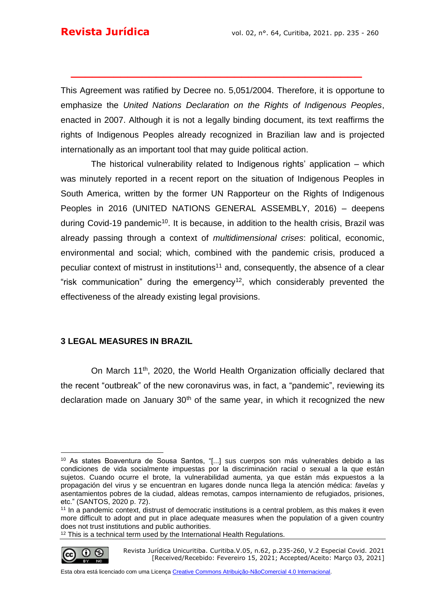This Agreement was ratified by Decree no. 5,051/2004. Therefore, it is opportune to emphasize the *United Nations Declaration on the Rights of Indigenous Peoples*, enacted in 2007. Although it is not a legally binding document, its text reaffirms the rights of Indigenous Peoples already recognized in Brazilian law and is projected internationally as an important tool that may guide political action.

**\_\_\_\_\_\_\_\_\_\_\_\_\_\_\_\_\_\_\_\_\_\_\_\_\_\_\_\_\_\_\_\_\_\_\_\_\_\_\_\_\_**

The historical vulnerability related to Indigenous rights' application – which was minutely reported in a recent report on the situation of Indigenous Peoples in South America, written by the former UN Rapporteur on the Rights of Indigenous Peoples in 2016 (UNITED NATIONS GENERAL ASSEMBLY, 2016) – deepens during Covid-19 pandemic<sup>10</sup>. It is because, in addition to the health crisis, Brazil was already passing through a context of *multidimensional crises*: political, economic, environmental and social; which, combined with the pandemic crisis, produced a peculiar context of mistrust in institutions<sup>11</sup> and, consequently, the absence of a clear "risk communication" during the emergency<sup>12</sup>, which considerably prevented the effectiveness of the already existing legal provisions.

## **3 LEGAL MEASURES IN BRAZIL**

On March 11<sup>th</sup>, 2020, the World Health Organization officially declared that the recent "outbreak" of the new coronavirus was, in fact, a "pandemic", reviewing its declaration made on January 30<sup>th</sup> of the same year, in which it recognized the new

 $12$  This is a technical term used by the International Health Regulations.



Revista Jurídica Unicuritiba. Curitiba.V.05, n.62, p.235-260, V.2 Especial Covid. 2021 [Received/Recebido: Fevereiro 15, 2021; Accepted/Aceito: Março 03, 2021]

<sup>10</sup> As states Boaventura de Sousa Santos, "[...] sus cuerpos son más vulnerables debido a las condiciones de vida socialmente impuestas por la discriminación racial o sexual a la que están sujetos. Cuando ocurre el brote, la vulnerabilidad aumenta, ya que están más expuestos a la propagación del virus y se encuentran en lugares donde nunca llega la atención médica: *favelas* y asentamientos pobres de la ciudad, aldeas remotas, campos internamiento de refugiados, prisiones, etc." (SANTOS, 2020 p. 72).

<sup>&</sup>lt;sup>11</sup> In a pandemic context, distrust of democratic institutions is a central problem, as this makes it even more difficult to adopt and put in place adequate measures when the population of a given country does not trust institutions and public authorities.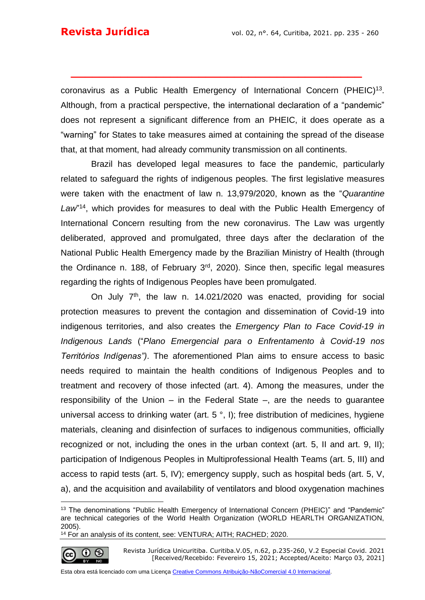coronavirus as a Public Health Emergency of International Concern (PHEIC)<sup>13</sup>. Although, from a practical perspective, the international declaration of a "pandemic" does not represent a significant difference from an PHEIC, it does operate as a "warning" for States to take measures aimed at containing the spread of the disease that, at that moment, had already community transmission on all continents.

**\_\_\_\_\_\_\_\_\_\_\_\_\_\_\_\_\_\_\_\_\_\_\_\_\_\_\_\_\_\_\_\_\_\_\_\_\_\_\_\_\_**

Brazil has developed legal measures to face the pandemic, particularly related to safeguard the rights of indigenous peoples. The first legislative measures were taken with the enactment of law n. 13,979/2020, known as the "*Quarantine*  Law<sup>"14</sup>, which provides for measures to deal with the Public Health Emergency of International Concern resulting from the new coronavirus. The Law was urgently deliberated, approved and promulgated, three days after the declaration of the National Public Health Emergency made by the Brazilian Ministry of Health (through the Ordinance n. 188, of February 3rd, 2020). Since then, specific legal measures regarding the rights of Indigenous Peoples have been promulgated.

On July  $7<sup>th</sup>$ , the law n. 14.021/2020 was enacted, providing for social protection measures to prevent the contagion and dissemination of Covid-19 into indigenous territories, and also creates the *Emergency Plan to Face Covid-19 in Indigenous Lands* ("*Plano Emergencial para o Enfrentamento à Covid-19 nos Territórios Indígenas")*. The aforementioned Plan aims to ensure access to basic needs required to maintain the health conditions of Indigenous Peoples and to treatment and recovery of those infected (art. 4). Among the measures, under the responsibility of the Union – in the Federal State –, are the needs to guarantee universal access to drinking water (art.  $5^\circ$ , I); free distribution of medicines, hygiene materials, cleaning and disinfection of surfaces to indigenous communities, officially recognized or not, including the ones in the urban context (art. 5, II and art. 9, II); participation of Indigenous Peoples in Multiprofessional Health Teams (art. 5, III) and access to rapid tests (art. 5, IV); emergency supply, such as hospital beds (art. 5, V, a), and the acquisition and availability of ventilators and blood oxygenation machines

<sup>&</sup>lt;sup>14</sup> For an analysis of its content, see: VENTURA; AITH; RACHED; 2020.



<sup>&</sup>lt;sup>13</sup> The denominations "Public Health Emergency of International Concern (PHEIC)" and "Pandemic" are technical categories of the World Health Organization (WORLD HEARLTH ORGANIZATION, 2005).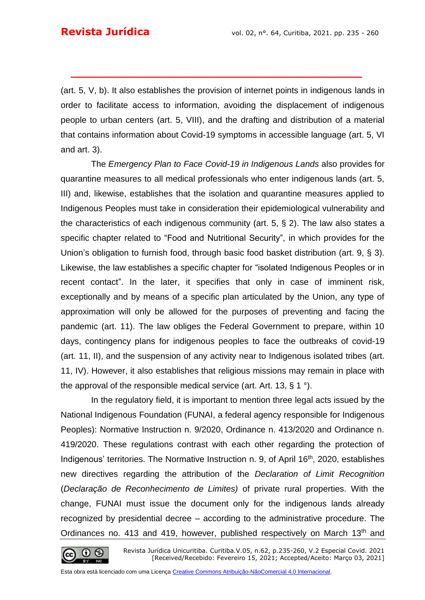(art. 5, V, b). It also establishes the provision of internet points in indigenous lands in order to facilitate access to information, avoiding the displacement of indigenous people to urban centers (art. 5, VIII), and the drafting and distribution of a material that contains information about Covid-19 symptoms in accessible language (art. 5, VI and art. 3).

**\_\_\_\_\_\_\_\_\_\_\_\_\_\_\_\_\_\_\_\_\_\_\_\_\_\_\_\_\_\_\_\_\_\_\_\_\_\_\_\_\_**

The *Emergency Plan to Face Covid-19 in Indigenous Lands* also provides for quarantine measures to all medical professionals who enter indigenous lands (art. 5, III) and, likewise, establishes that the isolation and quarantine measures applied to Indigenous Peoples must take in consideration their epidemiological vulnerability and the characteristics of each indigenous community (art. 5, § 2). The law also states a specific chapter related to "Food and Nutritional Security", in which provides for the Union's obligation to furnish food, through basic food basket distribution (art. 9, § 3). Likewise, the law establishes a specific chapter for "isolated Indigenous Peoples or in recent contact". In the later, it specifies that only in case of imminent risk, exceptionally and by means of a specific plan articulated by the Union, any type of approximation will only be allowed for the purposes of preventing and facing the pandemic (art. 11). The law obliges the Federal Government to prepare, within 10 days, contingency plans for indigenous peoples to face the outbreaks of covid-19 (art. 11, II), and the suspension of any activity near to Indigenous isolated tribes (art. 11, IV). However, it also establishes that religious missions may remain in place with the approval of the responsible medical service (art. Art. 13,  $\S$  1 °).

In the regulatory field, it is important to mention three legal acts issued by the National Indigenous Foundation (FUNAI, a federal agency responsible for Indigenous Peoples): Normative Instruction n. 9/2020, Ordinance n. 413/2020 and Ordinance n. 419/2020. These regulations contrast with each other regarding the protection of Indigenous' territories. The Normative Instruction n. 9, of April 16<sup>th</sup>, 2020, establishes new directives regarding the attribution of the *Declaration of Limit Recognition* (*Declaração de Reconhecimento de Limites)* of private rural properties. With the change, FUNAI must issue the document only for the indigenous lands already recognized by presidential decree – according to the administrative procedure. The Ordinances no. 413 and 419, however, published respectively on March 13<sup>th</sup> and

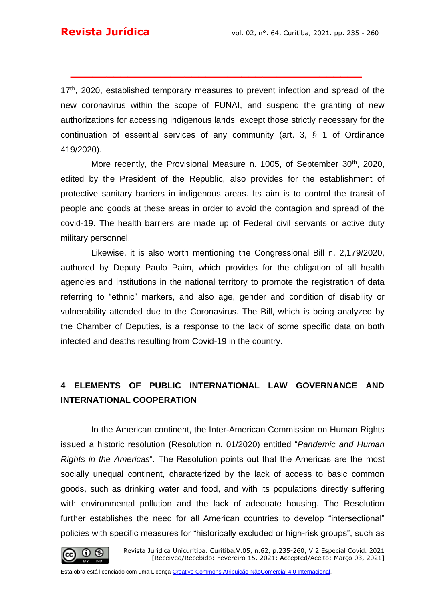$17<sup>th</sup>$ , 2020, established temporary measures to prevent infection and spread of the new coronavirus within the scope of FUNAI, and suspend the granting of new authorizations for accessing indigenous lands, except those strictly necessary for the continuation of essential services of any community (art. 3, § 1 of Ordinance 419/2020).

**\_\_\_\_\_\_\_\_\_\_\_\_\_\_\_\_\_\_\_\_\_\_\_\_\_\_\_\_\_\_\_\_\_\_\_\_\_\_\_\_\_**

More recently, the Provisional Measure n. 1005, of September 30<sup>th</sup>, 2020, edited by the President of the Republic, also provides for the establishment of protective sanitary barriers in indigenous areas. Its aim is to control the transit of people and goods at these areas in order to avoid the contagion and spread of the covid-19. The health barriers are made up of Federal civil servants or active duty military personnel.

Likewise, it is also worth mentioning the Congressional Bill n. 2,179/2020, authored by Deputy Paulo Paim, which provides for the obligation of all health agencies and institutions in the national territory to promote the registration of data referring to "ethnic" markers, and also age, gender and condition of disability or vulnerability attended due to the Coronavirus. The Bill, which is being analyzed by the Chamber of Deputies, is a response to the lack of some specific data on both infected and deaths resulting from Covid-19 in the country.

## **4 ELEMENTS OF PUBLIC INTERNATIONAL LAW GOVERNANCE AND INTERNATIONAL COOPERATION**

In the American continent, the Inter-American Commission on Human Rights issued a historic resolution (Resolution n. 01/2020) entitled "*Pandemic and Human Rights in the Americas*". The Resolution points out that the Americas are the most socially unequal continent, characterized by the lack of access to basic common goods, such as drinking water and food, and with its populations directly suffering with environmental pollution and the lack of adequate housing. The Resolution further establishes the need for all American countries to develop "intersectional" policies with specific measures for "historically excluded or high-risk groups", such as

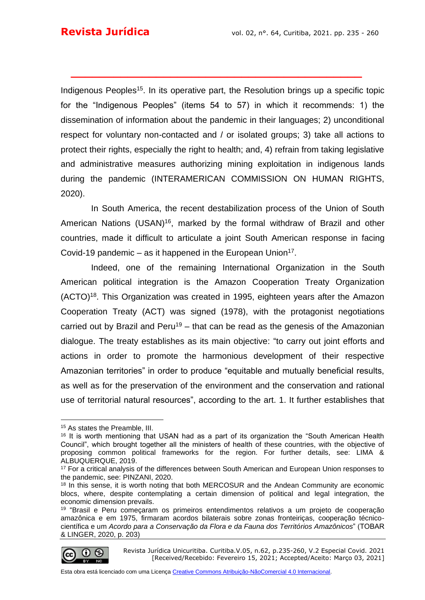Indigenous Peoples<sup>15</sup>. In its operative part, the Resolution brings up a specific topic for the "Indigenous Peoples" (items 54 to 57) in which it recommends: 1) the dissemination of information about the pandemic in their languages; 2) unconditional respect for voluntary non-contacted and / or isolated groups; 3) take all actions to protect their rights, especially the right to health; and, 4) refrain from taking legislative and administrative measures authorizing mining exploitation in indigenous lands during the pandemic (INTERAMERICAN COMMISSION ON HUMAN RIGHTS, 2020).

**\_\_\_\_\_\_\_\_\_\_\_\_\_\_\_\_\_\_\_\_\_\_\_\_\_\_\_\_\_\_\_\_\_\_\_\_\_\_\_\_\_**

In South America, the recent destabilization process of the Union of South American Nations (USAN)<sup>16</sup>, marked by the formal withdraw of Brazil and other countries, made it difficult to articulate a joint South American response in facing Covid-19 pandemic  $-$  as it happened in the European Union<sup>17</sup>.

Indeed, one of the remaining International Organization in the South American political integration is the Amazon Cooperation Treaty Organization (ACTO)<sup>18</sup>. This Organization was created in 1995, eighteen years after the Amazon Cooperation Treaty (ACT) was signed (1978), with the protagonist negotiations carried out by Brazil and Peru<sup>19</sup> – that can be read as the genesis of the Amazonian dialogue. The treaty establishes as its main objective: "to carry out joint efforts and actions in order to promote the harmonious development of their respective Amazonian territories" in order to produce "equitable and mutually beneficial results, as well as for the preservation of the environment and the conservation and rational use of territorial natural resources", according to the art. 1. It further establishes that

<sup>19</sup> "Brasil e Peru começaram os primeiros entendimentos relativos a um projeto de cooperação amazônica e em 1975, firmaram acordos bilaterais sobre zonas fronteiriças, cooperação técnicocientífica e um *Acordo para a Conservação da Flora e da Fauna dos Territórios Amazônicos*" (TOBAR & LINGER, 2020, p. 203)



Revista Jurídica Unicuritiba. Curitiba.V.05, n.62, p.235-260, V.2 Especial Covid. 2021 [Received/Recebido: Fevereiro 15, 2021; Accepted/Aceito: Março 03, 2021]

<sup>15</sup> As states the Preamble, III.

<sup>&</sup>lt;sup>16</sup> It is worth mentioning that USAN had as a part of its organization the "South American Health Council", which brought together all the ministers of health of these countries, with the objective of proposing common political frameworks for the region. For further details, see: LIMA & ALBUQUERQUE, 2019.

<sup>&</sup>lt;sup>17</sup> For a critical analysis of the differences between South American and European Union responses to the pandemic, see: PINZANI, 2020.

<sup>&</sup>lt;sup>18</sup> In this sense, it is worth noting that both MERCOSUR and the Andean Community are economic blocs, where, despite contemplating a certain dimension of political and legal integration, the economic dimension prevails.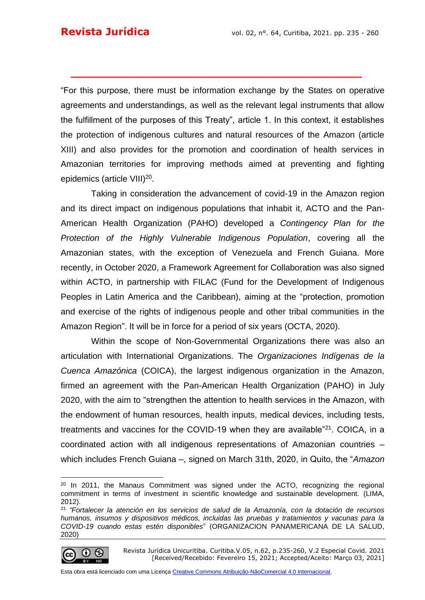"For this purpose, there must be information exchange by the States on operative agreements and understandings, as well as the relevant legal instruments that allow the fulfillment of the purposes of this Treaty", article 1. In this context, it establishes the protection of indigenous cultures and natural resources of the Amazon (article XIII) and also provides for the promotion and coordination of health services in Amazonian territories for improving methods aimed at preventing and fighting epidemics (article VIII)<sup>20</sup>.

**\_\_\_\_\_\_\_\_\_\_\_\_\_\_\_\_\_\_\_\_\_\_\_\_\_\_\_\_\_\_\_\_\_\_\_\_\_\_\_\_\_**

Taking in consideration the advancement of covid-19 in the Amazon region and its direct impact on indigenous populations that inhabit it, ACTO and the Pan-American Health Organization (PAHO) developed a *Contingency Plan for the Protection of the Highly Vulnerable Indigenous Population*, covering all the Amazonian states, with the exception of Venezuela and French Guiana. More recently, in October 2020, a Framework Agreement for Collaboration was also signed within ACTO, in partnership with FILAC (Fund for the Development of Indigenous Peoples in Latin America and the Caribbean), aiming at the "protection, promotion and exercise of the rights of indigenous people and other tribal communities in the Amazon Region". It will be in force for a period of six years (OCTA, 2020).

Within the scope of Non-Governmental Organizations there was also an articulation with International Organizations. The *Organizaciones Indígenas de la Cuenca Amazónica* (COICA), the largest indigenous organization in the Amazon, firmed an agreement with the Pan-American Health Organization (PAHO) in July 2020, with the aim to "strengthen the attention to health services in the Amazon, with the endowment of human resources, health inputs, medical devices, including tests, treatments and vaccines for the COVID-19 when they are available"<sup>21</sup>. COICA, in a coordinated action with all indigenous representations of Amazonian countries – which includes French Guiana –, signed on March 31th, 2020, in Quito, the "*Amazon* 

<sup>21</sup> *"Fortalecer la atención en los servicios de salud de la Amazonía, con la dotación de recursos humanos, insumos y dispositivos médicos, incluidas las pruebas y tratamientos y vacunas para la COVID-19 cuando estas estén disponibles*" (ORGANIZACION PANAMERICANA DE LA SALUD, 2020)



Revista Jurídica Unicuritiba. Curitiba.V.05, n.62, p.235-260, V.2 Especial Covid. 2021 [Received/Recebido: Fevereiro 15, 2021; Accepted/Aceito: Março 03, 2021]

 $20$  In 2011, the Manaus Commitment was signed under the ACTO, recognizing the regional commitment in terms of investment in scientific knowledge and sustainable development. (LIMA, 2012).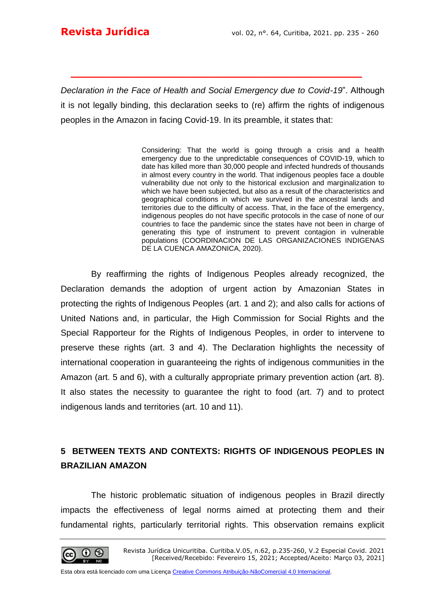*Declaration in the Face of Health and Social Emergency due to Covid-19*". Although it is not legally binding, this declaration seeks to (re) affirm the rights of indigenous peoples in the Amazon in facing Covid-19. In its preamble, it states that:

**\_\_\_\_\_\_\_\_\_\_\_\_\_\_\_\_\_\_\_\_\_\_\_\_\_\_\_\_\_\_\_\_\_\_\_\_\_\_\_\_\_**

Considering: That the world is going through a crisis and a health emergency due to the unpredictable consequences of COVID-19, which to date has killed more than 30,000 people and infected hundreds of thousands in almost every country in the world. That indigenous peoples face a double vulnerability due not only to the historical exclusion and marginalization to which we have been subjected, but also as a result of the characteristics and geographical conditions in which we survived in the ancestral lands and territories due to the difficulty of access. That, in the face of the emergency, indigenous peoples do not have specific protocols in the case of none of our countries to face the pandemic since the states have not been in charge of generating this type of instrument to prevent contagion in vulnerable populations (COORDINACION DE LAS ORGANIZACIONES INDIGENAS DE LA CUENCA AMAZONICA, 2020).

By reaffirming the rights of Indigenous Peoples already recognized, the Declaration demands the adoption of urgent action by Amazonian States in protecting the rights of Indigenous Peoples (art. 1 and 2); and also calls for actions of United Nations and, in particular, the High Commission for Social Rights and the Special Rapporteur for the Rights of Indigenous Peoples, in order to intervene to preserve these rights (art. 3 and 4). The Declaration highlights the necessity of international cooperation in guaranteeing the rights of indigenous communities in the Amazon (art. 5 and 6), with a culturally appropriate primary prevention action (art. 8). It also states the necessity to guarantee the right to food (art. 7) and to protect indigenous lands and territories (art. 10 and 11).

## **5 BETWEEN TEXTS AND CONTEXTS: RIGHTS OF INDIGENOUS PEOPLES IN BRAZILIAN AMAZON**

The historic problematic situation of indigenous peoples in Brazil directly impacts the effectiveness of legal norms aimed at protecting them and their fundamental rights, particularly territorial rights. This observation remains explicit

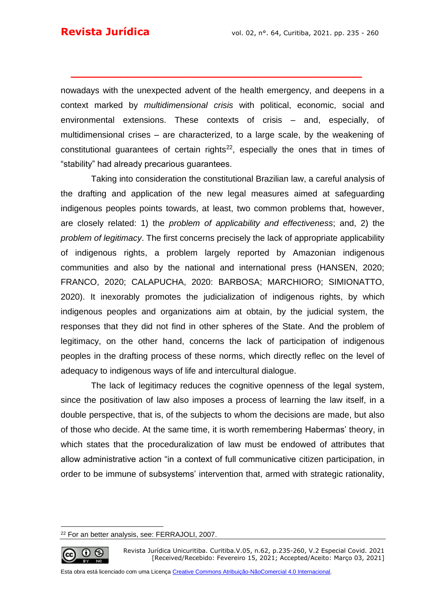nowadays with the unexpected advent of the health emergency, and deepens in a context marked by *multidimensional crisis* with political, economic, social and environmental extensions. These contexts of crisis – and, especially, of multidimensional crises – are characterized, to a large scale, by the weakening of constitutional guarantees of certain rights $22$ , especially the ones that in times of "stability" had already precarious guarantees.

**\_\_\_\_\_\_\_\_\_\_\_\_\_\_\_\_\_\_\_\_\_\_\_\_\_\_\_\_\_\_\_\_\_\_\_\_\_\_\_\_\_**

Taking into consideration the constitutional Brazilian law, a careful analysis of the drafting and application of the new legal measures aimed at safeguarding indigenous peoples points towards, at least, two common problems that, however, are closely related: 1) the *problem of applicability and effectiveness*; and, 2) the *problem of legitimacy*. The first concerns precisely the lack of appropriate applicability of indigenous rights, a problem largely reported by Amazonian indigenous communities and also by the national and international press (HANSEN, 2020; FRANCO, 2020; CALAPUCHA, 2020: BARBOSA; MARCHIORO; SIMIONATTO, 2020). It inexorably promotes the judicialization of indigenous rights, by which indigenous peoples and organizations aim at obtain, by the judicial system, the responses that they did not find in other spheres of the State. And the problem of legitimacy, on the other hand, concerns the lack of participation of indigenous peoples in the drafting process of these norms, which directly reflec on the level of adequacy to indigenous ways of life and intercultural dialogue.

The lack of legitimacy reduces the cognitive openness of the legal system, since the positivation of law also imposes a process of learning the law itself, in a double perspective, that is, of the subjects to whom the decisions are made, but also of those who decide. At the same time, it is worth remembering Habermas' theory, in which states that the proceduralization of law must be endowed of attributes that allow administrative action "in a context of full communicative citizen participation, in order to be immune of subsystems' intervention that, armed with strategic rationality,

<sup>22</sup> For an better analysis, see: FERRAJOLI, 2007.

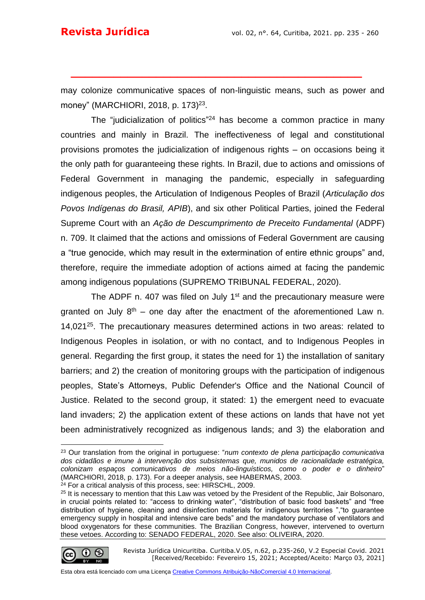may colonize communicative spaces of non-linguistic means, such as power and money" (MARCHIORI, 2018, p. 173)<sup>23</sup>.

**\_\_\_\_\_\_\_\_\_\_\_\_\_\_\_\_\_\_\_\_\_\_\_\_\_\_\_\_\_\_\_\_\_\_\_\_\_\_\_\_\_**

The "judicialization of politics"<sup>24</sup> has become a common practice in many countries and mainly in Brazil. The ineffectiveness of legal and constitutional provisions promotes the judicialization of indigenous rights – on occasions being it the only path for guaranteeing these rights. In Brazil, due to actions and omissions of Federal Government in managing the pandemic, especially in safeguarding indigenous peoples, the Articulation of Indigenous Peoples of Brazil (*Articulação dos Povos Indígenas do Brasil, APIB*), and six other Political Parties, joined the Federal Supreme Court with an *Ação de Descumprimento de Preceito Fundamental* (ADPF) n. 709. It claimed that the actions and omissions of Federal Government are causing a "true genocide, which may result in the extermination of entire ethnic groups" and, therefore, require the immediate adoption of actions aimed at facing the pandemic among indigenous populations (SUPREMO TRIBUNAL FEDERAL, 2020).

The ADPF n. 407 was filed on July  $1<sup>st</sup>$  and the precautionary measure were granted on July  $8<sup>th</sup>$  – one day after the enactment of the aforementioned Law n. 14,021<sup>25</sup> . The precautionary measures determined actions in two areas: related to Indigenous Peoples in isolation, or with no contact, and to Indigenous Peoples in general. Regarding the first group, it states the need for 1) the installation of sanitary barriers; and 2) the creation of monitoring groups with the participation of indigenous peoples, State's Attorneys, Public Defender's Office and the National Council of Justice. Related to the second group, it stated: 1) the emergent need to evacuate land invaders; 2) the application extent of these actions on lands that have not yet been administratively recognized as indigenous lands; and 3) the elaboration and

<sup>&</sup>lt;sup>25</sup> It is necessary to mention that this Law was vetoed by the President of the Republic, Jair Bolsonaro, in crucial points related to: "access to drinking water", "distribution of basic food baskets" and "free distribution of hygiene, cleaning and disinfection materials for indigenous territories ","to guarantee emergency supply in hospital and intensive care beds" and the mandatory purchase of ventilators and blood oxygenators for these communities. The Brazilian Congress, however, intervened to overturn these vetoes. According to: SENADO FEDERAL, 2020. See also: OLIVEIRA, 2020.



Revista Jurídica Unicuritiba. Curitiba.V.05, n.62, p.235-260, V.2 Especial Covid. 2021 [Received/Recebido: Fevereiro 15, 2021; Accepted/Aceito: Março 03, 2021]

<sup>23</sup> Our translation from the original in portuguese: "*num contexto de plena participação comunicativa dos cidadãos e imune à intervenção dos subsistemas que, munidos de racionalidade estratégica, colonizam espaços comunicativos de meios não-linguísticos, como o poder e o dinheiro*" (MARCHIORI, 2018, p. 173). For a deeper analysis, see HABERMAS, 2003.

 $24$  For a critical analysis of this process, see: HIRSCHL, 2009.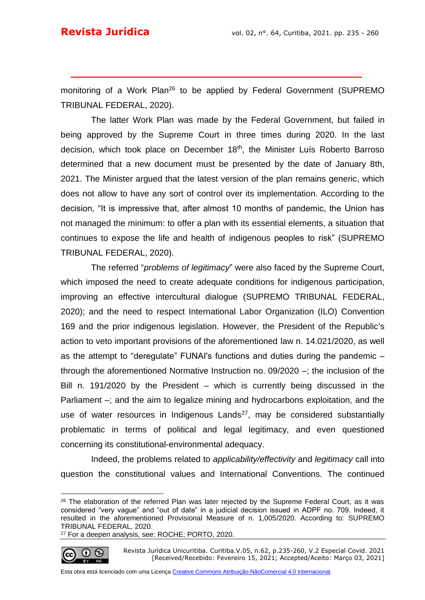monitoring of a Work Plan<sup>26</sup> to be applied by Federal Government (SUPREMO TRIBUNAL FEDERAL, 2020).

**\_\_\_\_\_\_\_\_\_\_\_\_\_\_\_\_\_\_\_\_\_\_\_\_\_\_\_\_\_\_\_\_\_\_\_\_\_\_\_\_\_**

The latter Work Plan was made by the Federal Government, but failed in being approved by the Supreme Court in three times during 2020. In the last decision, which took place on December 18<sup>th</sup>, the Minister Luís Roberto Barroso determined that a new document must be presented by the date of January 8th, 2021. The Minister argued that the latest version of the plan remains generic, which does not allow to have any sort of control over its implementation. According to the decision, "It is impressive that, after almost 10 months of pandemic, the Union has not managed the minimum: to offer a plan with its essential elements, a situation that continues to expose the life and health of indigenous peoples to risk" (SUPREMO TRIBUNAL FEDERAL, 2020).

The referred "*problems of legitimacy*" were also faced by the Supreme Court, which imposed the need to create adequate conditions for indigenous participation, improving an effective intercultural dialogue (SUPREMO TRIBUNAL FEDERAL, 2020); and the need to respect International Labor Organization (ILO) Convention 169 and the prior indigenous legislation. However, the President of the Republic's action to veto important provisions of the aforementioned law n. 14.021/2020, as well as the attempt to "deregulate" FUNAI's functions and duties during the pandemic – through the aforementioned Normative Instruction no. 09/2020 –; the inclusion of the Bill n. 191/2020 by the President – which is currently being discussed in the Parliament –; and the aim to legalize mining and hydrocarbons exploitation, and the use of water resources in Indigenous Lands $27$ , may be considered substantially problematic in terms of political and legal legitimacy, and even questioned concerning its constitutional-environmental adequacy.

Indeed, the problems related to *applicability/effectivity* and *legitimacy* call into question the constitutional values and International Conventions. The continued

<sup>&</sup>lt;sup>27</sup> For a deepen analysis, see: ROCHE; PORTO, 2020.



Revista Jurídica Unicuritiba. Curitiba.V.05, n.62, p.235-260, V.2 Especial Covid. 2021 [Received/Recebido: Fevereiro 15, 2021; Accepted/Aceito: Março 03, 2021]

<sup>&</sup>lt;sup>26</sup> The elaboration of the referred Plan was later rejected by the Supreme Federal Court, as it was considered "very vague" and "out of date" in a judicial decision issued in ADPF no. 709. Indeed, it resulted in the aforementioned Provisional Measure of n. 1,005/2020. According to: SUPREMO TRIBUNAL FEDERAL, 2020.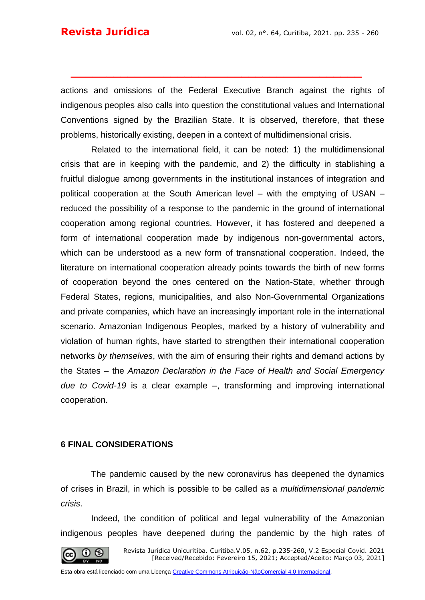actions and omissions of the Federal Executive Branch against the rights of indigenous peoples also calls into question the constitutional values and International Conventions signed by the Brazilian State. It is observed, therefore, that these problems, historically existing, deepen in a context of multidimensional crisis.

**\_\_\_\_\_\_\_\_\_\_\_\_\_\_\_\_\_\_\_\_\_\_\_\_\_\_\_\_\_\_\_\_\_\_\_\_\_\_\_\_\_**

Related to the international field, it can be noted: 1) the multidimensional crisis that are in keeping with the pandemic, and 2) the difficulty in stablishing a fruitful dialogue among governments in the institutional instances of integration and political cooperation at the South American level – with the emptying of USAN – reduced the possibility of a response to the pandemic in the ground of international cooperation among regional countries. However, it has fostered and deepened a form of international cooperation made by indigenous non-governmental actors, which can be understood as a new form of transnational cooperation. Indeed, the literature on international cooperation already points towards the birth of new forms of cooperation beyond the ones centered on the Nation-State, whether through Federal States, regions, municipalities, and also Non-Governmental Organizations and private companies, which have an increasingly important role in the international scenario. Amazonian Indigenous Peoples, marked by a history of vulnerability and violation of human rights, have started to strengthen their international cooperation networks *by themselves*, with the aim of ensuring their rights and demand actions by the States – the *Amazon Declaration in the Face of Health and Social Emergency due to Covid-19* is a clear example –, transforming and improving international cooperation.

## **6 FINAL CONSIDERATIONS**

The pandemic caused by the new coronavirus has deepened the dynamics of crises in Brazil, in which is possible to be called as a *multidimensional pandemic crisis*.

Indeed, the condition of political and legal vulnerability of the Amazonian indigenous peoples have deepened during the pandemic by the high rates of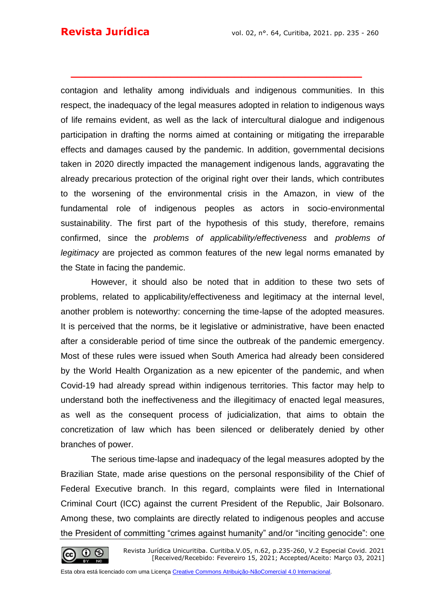contagion and lethality among individuals and indigenous communities. In this respect, the inadequacy of the legal measures adopted in relation to indigenous ways of life remains evident, as well as the lack of intercultural dialogue and indigenous participation in drafting the norms aimed at containing or mitigating the irreparable effects and damages caused by the pandemic. In addition, governmental decisions taken in 2020 directly impacted the management indigenous lands, aggravating the already precarious protection of the original right over their lands, which contributes to the worsening of the environmental crisis in the Amazon, in view of the fundamental role of indigenous peoples as actors in socio-environmental sustainability. The first part of the hypothesis of this study, therefore, remains confirmed, since the *problems of applicability/effectiveness* and *problems of legitimacy* are projected as common features of the new legal norms emanated by the State in facing the pandemic.

**\_\_\_\_\_\_\_\_\_\_\_\_\_\_\_\_\_\_\_\_\_\_\_\_\_\_\_\_\_\_\_\_\_\_\_\_\_\_\_\_\_**

However, it should also be noted that in addition to these two sets of problems, related to applicability/effectiveness and legitimacy at the internal level, another problem is noteworthy: concerning the time-lapse of the adopted measures. It is perceived that the norms, be it legislative or administrative, have been enacted after a considerable period of time since the outbreak of the pandemic emergency. Most of these rules were issued when South America had already been considered by the World Health Organization as a new epicenter of the pandemic, and when Covid-19 had already spread within indigenous territories. This factor may help to understand both the ineffectiveness and the illegitimacy of enacted legal measures, as well as the consequent process of judicialization, that aims to obtain the concretization of law which has been silenced or deliberately denied by other branches of power.

The serious time-lapse and inadequacy of the legal measures adopted by the Brazilian State, made arise questions on the personal responsibility of the Chief of Federal Executive branch. In this regard, complaints were filed in International Criminal Court (ICC) against the current President of the Republic, Jair Bolsonaro. Among these, two complaints are directly related to indigenous peoples and accuse the President of committing "crimes against humanity" and/or "inciting genocide": one

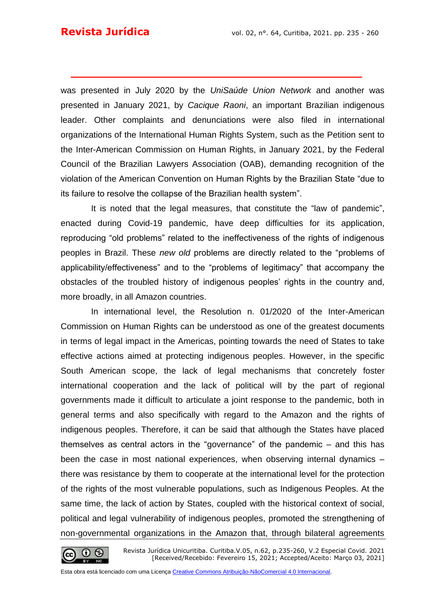was presented in July 2020 by the *UniSaúde Union Network* and another was presented in January 2021, by *Cacique Raoni*, an important Brazilian indigenous leader. Other complaints and denunciations were also filed in international organizations of the International Human Rights System, such as the Petition sent to the Inter-American Commission on Human Rights, in January 2021, by the Federal Council of the Brazilian Lawyers Association (OAB), demanding recognition of the violation of the American Convention on Human Rights by the Brazilian State "due to its failure to resolve the collapse of the Brazilian health system".

**\_\_\_\_\_\_\_\_\_\_\_\_\_\_\_\_\_\_\_\_\_\_\_\_\_\_\_\_\_\_\_\_\_\_\_\_\_\_\_\_\_**

It is noted that the legal measures, that constitute the "law of pandemic", enacted during Covid-19 pandemic, have deep difficulties for its application, reproducing "old problems" related to the ineffectiveness of the rights of indigenous peoples in Brazil. These *new old* problems are directly related to the "problems of applicability/effectiveness" and to the "problems of legitimacy" that accompany the obstacles of the troubled history of indigenous peoples' rights in the country and, more broadly, in all Amazon countries.

In international level, the Resolution n. 01/2020 of the Inter-American Commission on Human Rights can be understood as one of the greatest documents in terms of legal impact in the Americas, pointing towards the need of States to take effective actions aimed at protecting indigenous peoples. However, in the specific South American scope, the lack of legal mechanisms that concretely foster international cooperation and the lack of political will by the part of regional governments made it difficult to articulate a joint response to the pandemic, both in general terms and also specifically with regard to the Amazon and the rights of indigenous peoples. Therefore, it can be said that although the States have placed themselves as central actors in the "governance" of the pandemic – and this has been the case in most national experiences, when observing internal dynamics – there was resistance by them to cooperate at the international level for the protection of the rights of the most vulnerable populations, such as Indigenous Peoples. At the same time, the lack of action by States, coupled with the historical context of social, political and legal vulnerability of indigenous peoples, promoted the strengthening of non-governmental organizations in the Amazon that, through bilateral agreements

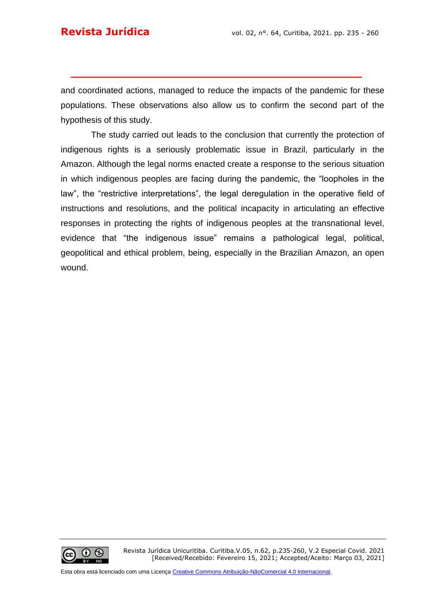and coordinated actions, managed to reduce the impacts of the pandemic for these populations. These observations also allow us to confirm the second part of the hypothesis of this study.

**\_\_\_\_\_\_\_\_\_\_\_\_\_\_\_\_\_\_\_\_\_\_\_\_\_\_\_\_\_\_\_\_\_\_\_\_\_\_\_\_\_**

The study carried out leads to the conclusion that currently the protection of indigenous rights is a seriously problematic issue in Brazil, particularly in the Amazon. Although the legal norms enacted create a response to the serious situation in which indigenous peoples are facing during the pandemic, the "loopholes in the law", the "restrictive interpretations", the legal deregulation in the operative field of instructions and resolutions, and the political incapacity in articulating an effective responses in protecting the rights of indigenous peoples at the transnational level, evidence that "the indigenous issue" remains a pathological legal, political, geopolitical and ethical problem, being, especially in the Brazilian Amazon, an open wound.

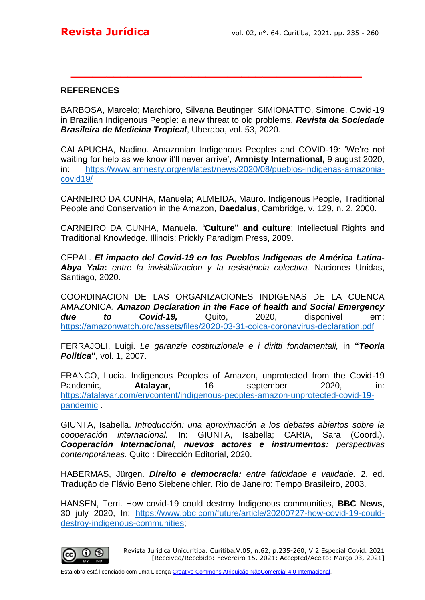## **REFERENCES**

BARBOSA, Marcelo; Marchioro, Silvana Beutinger; SIMIONATTO, Simone. Covid-19 in Brazilian Indigenous People: a new threat to old problems. *Revista da Sociedade Brasileira de Medicina Tropical*, Uberaba, vol. 53, 2020.

**\_\_\_\_\_\_\_\_\_\_\_\_\_\_\_\_\_\_\_\_\_\_\_\_\_\_\_\_\_\_\_\_\_\_\_\_\_\_\_\_\_**

CALAPUCHA, Nadino. Amazonian Indigenous Peoples and COVID-19: 'We're not waiting for help as we know it'll never arrive', **Amnisty International,** 9 august 2020, in: [https://www.amnesty.org/en/latest/news/2020/08/pueblos-indigenas-amazonia](https://www.amnesty.org/en/latest/news/2020/08/pueblos-indigenas-amazonia-covid19/)[covid19/](https://www.amnesty.org/en/latest/news/2020/08/pueblos-indigenas-amazonia-covid19/)

CARNEIRO DA CUNHA, Manuela; ALMEIDA, Mauro. Indigenous People, Traditional People and Conservation in the Amazon, **Daedalus**, Cambridge, v. 129, n. 2, 2000.

CARNEIRO DA CUNHA, Manuela*. "***Culture" and culture**: Intellectual Rights and Traditional Knowledge. Illinois: Prickly Paradigm Press, 2009.

CEPAL. *El impacto del Covid-19 en los Pueblos Indigenas de América Latina-Abya Yala***:** *entre la invisibilizacion y la resisténcia colectiva.* Naciones Unidas, Santiago, 2020.

COORDINACION DE LAS ORGANIZACIONES INDIGENAS DE LA CUENCA AMAZONICA. *Amazon Declaration in the Face of health and Social Emergency due to Covid-19,* Quito, 2020, disponivel em: <https://amazonwatch.org/assets/files/2020-03-31-coica-coronavirus-declaration.pdf>

FERRAJOLI, Luigi. *Le garanzie costituzionale e i diritti fondamentali,* in **"***Teoria Politica***",** vol. 1, 2007.

FRANCO, Lucia. Indigenous Peoples of Amazon, unprotected from the Covid-19 Pandemic, **Atalayar**, 16 september 2020, in: [https://atalayar.com/en/content/indigenous-peoples-amazon-unprotected-covid-19](https://atalayar.com/en/content/indigenous-peoples-amazon-unprotected-covid-19-pandemic) [pandemic](https://atalayar.com/en/content/indigenous-peoples-amazon-unprotected-covid-19-pandemic) .

GIUNTA, Isabella. *Introducción: una aproximación a los debates abiertos sobre la cooperación internacional.* In: GIUNTA, Isabella; CARIA, Sara (Coord.). *Cooperación Internacional, nuevos actores e instrumentos: perspectivas contemporáneas.* Quito : Dirección Editorial, 2020.

HABERMAS, Jürgen. *Direito e democracia: entre faticidade e validade.* 2. ed. Tradução de Flávio Beno Siebeneichler. Rio de Janeiro: Tempo Brasileiro, 2003.

HANSEN, Terri. How covid-19 could destroy Indigenous communities, **BBC News**, 30 july 2020, In: [https://www.bbc.com/future/article/20200727-how-covid-19-could](https://www.bbc.com/future/article/20200727-how-covid-19-could-destroy-indigenous-communities)[destroy-indigenous-communities;](https://www.bbc.com/future/article/20200727-how-covid-19-could-destroy-indigenous-communities)

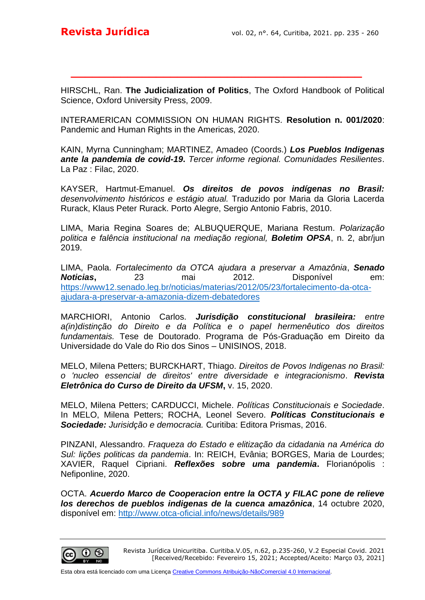HIRSCHL, Ran. **The Judicialization of Politics**, The Oxford Handbook of Political Science, Oxford University Press, 2009.

**\_\_\_\_\_\_\_\_\_\_\_\_\_\_\_\_\_\_\_\_\_\_\_\_\_\_\_\_\_\_\_\_\_\_\_\_\_\_\_\_\_**

INTERAMERICAN COMMISSION ON HUMAN RIGHTS. **Resolution n. 001/2020**: Pandemic and Human Rights in the Americas, 2020.

KAIN, Myrna Cunningham; MARTINEZ, Amadeo (Coords.) *Los Pueblos Indigenas ante la pandemia de covid-19***.** *Tercer informe regional. Comunidades Resilientes*. La Paz : Filac, 2020.

KAYSER, Hartmut-Emanuel. *Os direitos de povos indígenas no Brasil: desenvolvimento históricos e estágio atual.* Traduzido por Maria da Gloria Lacerda Rurack, Klaus Peter Rurack. Porto Alegre, Sergio Antonio Fabris, 2010.

LIMA, Maria Regina Soares de; ALBUQUERQUE, Mariana Restum. *Polarização politica e falência institucional na mediação regional, Boletim OPSA*, n. 2, abr/jun 2019.

LIMA, Paola. *Fortalecimento da OTCA ajudara a preservar a Amazônia*, *Senado Noticias***,** 23 mai 2012. Disponível em: [https://www12.senado.leg.br/noticias/materias/2012/05/23/fortalecimento-da-otca](https://www12.senado.leg.br/noticias/materias/2012/05/23/fortalecimento-da-otca-ajudara-a-preservar-a-amazonia-dizem-debatedores)[ajudara-a-preservar-a-amazonia-dizem-debatedores](https://www12.senado.leg.br/noticias/materias/2012/05/23/fortalecimento-da-otca-ajudara-a-preservar-a-amazonia-dizem-debatedores)

MARCHIORI, Antonio Carlos. *Jurisdição constitucional brasileira: entre a(in)distinção do Direito e da Política e o papel hermenêutico dos direitos fundamentais.* Tese de Doutorado. Programa de Pós-Graduação em Direito da Universidade do Vale do Rio dos Sinos – UNISINOS, 2018.

MELO, Milena Petters; BURCKHART, Thiago. *Direitos de Povos Indigenas no Brasil: o 'nucleo essencial de direitos' entre diversidade e integracionismo*. *Revista Eletrônica do Curso de Direito da UFSM***,** v. 15, 2020.

MELO, Milena Petters; CARDUCCI, Michele. *Políticas Constitucionais e Sociedade*. In MELO, Milena Petters; ROCHA, Leonel Severo. *Políticas Constitucionais e Sociedade: Jurisidção e democracia.* Curitiba: Editora Prismas, 2016.

PINZANI, Alessandro. *Fraqueza do Estado e elitização da cidadania na América do Sul: lições politicas da pandemia*. In: REICH, Evânia; BORGES, Maria de Lourdes; XAVIER, Raquel Cipriani. *Reflexões sobre uma pandemia***.** Florianópolis : Nefiponline, 2020.

OCTA. *Acuerdo Marco de Cooperacion entre la OCTA y FILAC pone de relieve los derechos de pueblos indigenas de la cuenca amazônica*, 14 octubre 2020, disponível em: <http://www.otca-oficial.info/news/details/989>

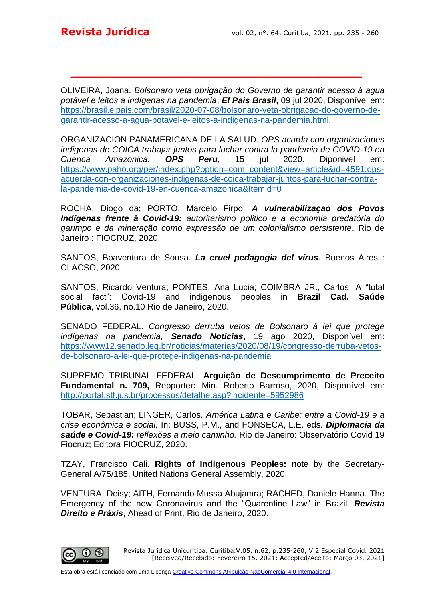OLIVEIRA, Joana. *Bolsonaro veta obrigação do Governo de garantir acesso à agua potável e leitos a indígenas na pandemia*, *El Pais Brasil***,** 09 jul 2020, Disponível em: [https://brasil.elpais.com/brasil/2020-07-08/bolsonaro-veta-obrigacao-do-governo-de](https://brasil.elpais.com/brasil/2020-07-08/bolsonaro-veta-obrigacao-do-governo-de-garantir-acesso-a-agua-potavel-e-leitos-a-indigenas-na-pandemia.html)[garantir-acesso-a-agua-potavel-e-leitos-a-indigenas-na-pandemia.html.](https://brasil.elpais.com/brasil/2020-07-08/bolsonaro-veta-obrigacao-do-governo-de-garantir-acesso-a-agua-potavel-e-leitos-a-indigenas-na-pandemia.html)

**\_\_\_\_\_\_\_\_\_\_\_\_\_\_\_\_\_\_\_\_\_\_\_\_\_\_\_\_\_\_\_\_\_\_\_\_\_\_\_\_\_**

ORGANIZACION PANAMERICANA DE LA SALUD. *OPS acurda con organizaciones indigenas de COICA trabajar juntos para luchar contra la pandemia de COVID-19 en Cuenca Amazonica. OPS Peru*, 15 jul 2020. Diponivel em: [https://www.paho.org/per/index.php?option=com\\_content&view=article&id=4591:ops](https://www.paho.org/per/index.php?option=com_content&view=article&id=4591:ops-acuerda-con-organizaciones-indigenas-de-coica-trabajar-juntos-para-luchar-contra-la-pandemia-de-covid-19-en-cuenca-amazonica&Itemid=0)[acuerda-con-organizaciones-indigenas-de-coica-trabajar-juntos-para-luchar-contra](https://www.paho.org/per/index.php?option=com_content&view=article&id=4591:ops-acuerda-con-organizaciones-indigenas-de-coica-trabajar-juntos-para-luchar-contra-la-pandemia-de-covid-19-en-cuenca-amazonica&Itemid=0)[la-pandemia-de-covid-19-en-cuenca-amazonica&Itemid=0](https://www.paho.org/per/index.php?option=com_content&view=article&id=4591:ops-acuerda-con-organizaciones-indigenas-de-coica-trabajar-juntos-para-luchar-contra-la-pandemia-de-covid-19-en-cuenca-amazonica&Itemid=0)

ROCHA, Diogo da; PORTO, Marcelo Firpo. *A vulnerabilizaçao dos Povos Indígenas frente à Covid-19: autoritarismo politico e a economia predatória do garimpo e da mineração como expressão de um colonialismo persistente*. Rio de Janeiro : FIOCRUZ, 2020.

SANTOS, Boaventura de Sousa. *La cruel pedagogia del vírus*. Buenos Aires : CLACSO, 2020.

SANTOS, Ricardo Ventura; PONTES, Ana Lucia; COIMBRA JR., Carlos. A "total social fact": Covid-19 and indigenous peoples in **Brazil Cad. Saúde Pública**, vol.36, no.10 Rio de Janeiro, 2020.

SENADO FEDERAL. *Congresso derruba vetos de Bolsonaro à lei que protege indígenas na pandemia, Senado Noticias*, 19 ago 2020, Disponível em: [https://www12.senado.leg.br/noticias/materias/2020/08/19/congresso-derruba-vetos](https://www12.senado.leg.br/noticias/materias/2020/08/19/congresso-derruba-vetos-de-bolsonaro-a-lei-que-protege-indigenas-na-pandemia)[de-bolsonaro-a-lei-que-protege-indigenas-na-pandemia](https://www12.senado.leg.br/noticias/materias/2020/08/19/congresso-derruba-vetos-de-bolsonaro-a-lei-que-protege-indigenas-na-pandemia)

SUPREMO TRIBUNAL FEDERAL. **Arguição de Descumprimento de Preceito Fundamental n. 709,** Repporter**:** Min. Roberto Barroso, 2020, Disponível em: <http://portal.stf.jus.br/processos/detalhe.asp?incidente=5952986>

TOBAR, Sebastian; LINGER, Carlos. *América Latina e Caribe: entre a Covid-19 e a crise econômica e social.* In: BUSS, P.M., and FONSECA, L.E. eds. *Diplomacia da saúde e Covid-19***:** *reflexões a meio caminho.* Rio de Janeiro: Observatório Covid 19 Fiocruz; Editora FIOCRUZ, 2020.

TZAY, Francisco Cali. **Rights of Indigenous Peoples:** note by the Secretary-General A/75/185, United Nations General Assembly, 2020.

VENTURA, Deisy; AITH, Fernando Mussa Abujamra; RACHED, Daniele Hanna. The Emergency of the new Coronavirus and the "Quarentine Law" in Brazil*. Revista Direito e Práxis***,** Ahead of Print, Rio de Janeiro, 2020.